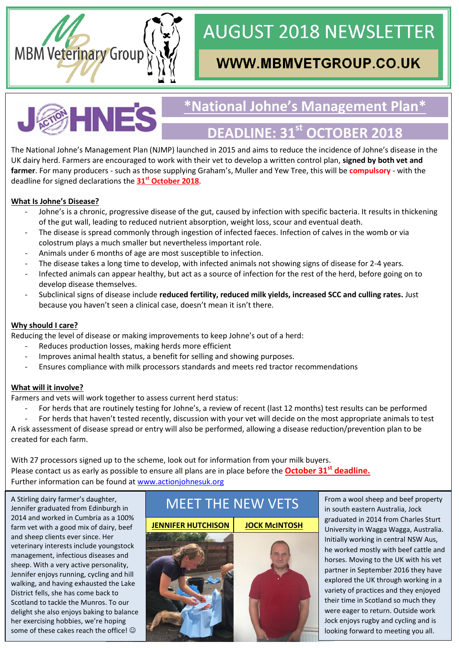

# **AUGUST 2018 NEWSLETTER**

# **WWW.MBMVETGROUP.CO.UK**



# **\*National Johne's Management Plan\***

## **DEADLINE: 31st OCTOBER 2018**

The National Johne's Management Plan (NJMP) launched in 2015 and aims to reduce the incidence of Johne's disease in the UK dairy herd. Farmers are encouraged to work with their vet to develop a written control plan, **signed by both vet and farmer**. For many producers - such as those supplying Graham's, Muller and Yew Tree, this will be **compulsory** - with the deadline for signed declarations the **31st October 2018**.

#### **What Is Johne's Disease?**

- Johne's is a chronic, progressive disease of the gut, caused by infection with specific bacteria. It results in thickening of the gut wall, leading to reduced nutrient absorption, weight loss, scour and eventual death.
- The disease is spread commonly through ingestion of infected faeces. Infection of calves in the womb or via colostrum plays a much smaller but nevertheless important role.
- Animals under 6 months of age are most susceptible to infection.
- The disease takes a long time to develop, with infected animals not showing signs of disease for 2-4 years.
- Infected animals can appear healthy, but act as a source of infection for the rest of the herd, before going on to develop disease themselves.
- Subclinical signs of disease include **reduced fertility, reduced milk yields, increased SCC and culling rates.** Just because you haven't seen a clinical case, doesn't mean it isn't there.

#### **Why should I care?**

Reducing the level of disease or making improvements to keep Johne's out of a herd:

- Reduces production losses, making herds more efficient
- Improves animal health status, a benefit for selling and showing purposes.
- Ensures compliance with milk processors standards and meets red tractor recommendations

#### **What will it involve?**

Farmers and vets will work together to assess current herd status:

For herds that are routinely testing for Johne's, a review of recent (last 12 months) test results can be performed

For herds that haven't tested recently, discussion with your vet will decide on the most appropriate animals to test A risk assessment of disease spread or entry will also be performed, allowing a disease reduction/prevention plan to be created for each farm.

With 27 processors signed up to the scheme, look out for information from your milk buyers. Please contact us as early as possible to ensure all plans are in place before the **October 31st deadline.** Further information can be found at [www.actionjohnesuk.org](http://www.actionjohnesuk.org/)

A Stirling dairy farmer's daughter, Jennifer graduated from Edinburgh in 2014 and worked in Cumbria as a 100% farm vet with a good mix of dairy, beef and sheep clients ever since. Her veterinary interests include youngstock management, infectious diseases and sheep. With a very active personality, Jennifer enjoys running, cycling and hill walking, and having exhausted the Lake District fells, she has come back to Scotland to tackle the Munros. To our delight she also enjoys baking to balance her exercising hobbies, we're hoping some of these cakes reach the office!  $\odot$ 





From a wool sheep and beef property in south eastern Australia, Jock graduated in 2014 from Charles Sturt University in Wagga Wagga, Australia. Initially working in central NSW Aus, he worked mostly with beef cattle and horses. Moving to the UK with his vet partner in September 2016 they have explored the UK through working in a variety of practices and they enjoyed their time in Scotland so much they were eager to return. Outside work Jock enjoys rugby and cycling and is looking forward to meeting you all.